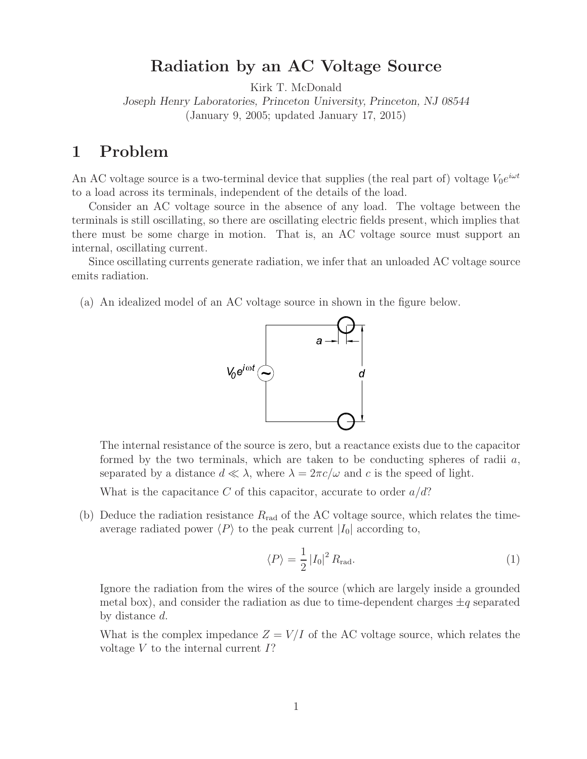# **Radiation by an AC Voltage Source**

Kirk T. McDonald

*Joseph Henry Laboratories, Princeton University, Princeton, NJ 08544* (January 9, 2005; updated January 17, 2015)

#### **1 Problem**

An AC voltage source is a two-terminal device that supplies (the real part of) voltage  $V_0e^{i\omega t}$ to a load across its terminals, independent of the details of the load.

Consider an AC voltage source in the absence of any load. The voltage between the terminals is still oscillating, so there are oscillating electric fields present, which implies that there must be some charge in motion. That is, an AC voltage source must support an internal, oscillating current.

Since oscillating currents generate radiation, we infer that an unloaded AC voltage source emits radiation.

(a) An idealized model of an AC voltage source in shown in the figure below.



The internal resistance of the source is zero, but a reactance exists due to the capacitor formed by the two terminals, which are taken to be conducting spheres of radii  $a$ , separated by a distance  $d \ll \lambda$ , where  $\lambda = 2\pi c/\omega$  and c is the speed of light.

What is the capacitance C of this capacitor, accurate to order  $a/d$ ?

(b) Deduce the radiation resistance  $R_{rad}$  of the AC voltage source, which relates the timeaverage radiated power  $\langle P \rangle$  to the peak current  $|I_0|$  according to,

$$
\langle P \rangle = \frac{1}{2} |I_0|^2 R_{\text{rad}}.\tag{1}
$$

Ignore the radiation from the wires of the source (which are largely inside a grounded metal box), and consider the radiation as due to time-dependent charges  $\pm q$  separated by distance d.

What is the complex impedance  $Z = V/I$  of the AC voltage source, which relates the voltage  $V$  to the internal current  $I$ ?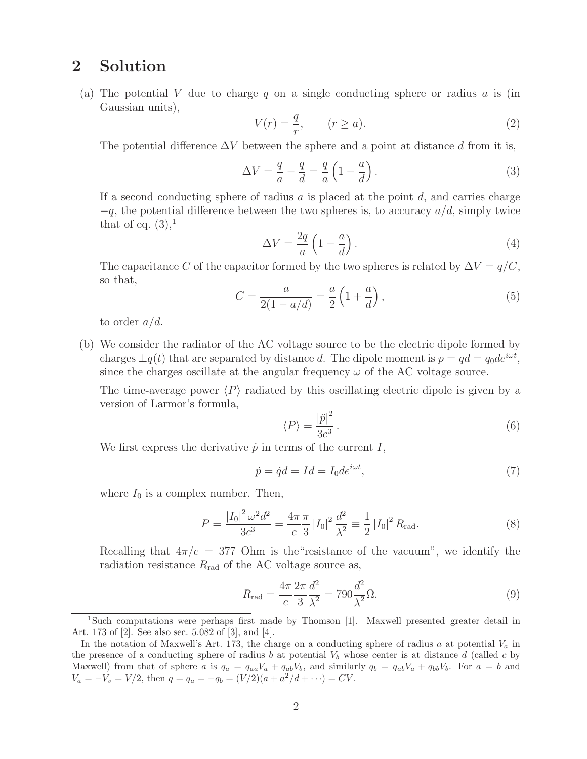### **2 Solution**

(a) The potential V due to charge q on a single conducting sphere or radius  $a$  is (in Gaussian units),

$$
V(r) = \frac{q}{r}, \qquad (r \ge a). \tag{2}
$$

The potential difference  $\Delta V$  between the sphere and a point at distance d from it is,

$$
\Delta V = \frac{q}{a} - \frac{q}{d} = \frac{q}{a} \left( 1 - \frac{a}{d} \right). \tag{3}
$$

If a second conducting sphere of radius a is placed at the point  $d$ , and carries charge  $-q$ , the potential difference between the two spheres is, to accuracy  $a/d$ , simply twice that of eq.  $(3)$ ,<sup>1</sup>

$$
\Delta V = \frac{2q}{a} \left( 1 - \frac{a}{d} \right). \tag{4}
$$

The capacitance C of the capacitor formed by the two spheres is related by  $\Delta V = q/C$ , so that,

$$
C = \frac{a}{2(1 - a/d)} = \frac{a}{2}\left(1 + \frac{a}{d}\right),\tag{5}
$$

to order  $a/d$ .

(b) We consider the radiator of the AC voltage source to be the electric dipole formed by charges  $\pm q(t)$  that are separated by distance d. The dipole moment is  $p = qd = q_0de^{i\omega t}$ , since the charges oscillate at the angular frequency  $\omega$  of the AC voltage source.

The time-average power  $\langle P \rangle$  radiated by this oscillating electric dipole is given by a version of Larmor's formula,

$$
\langle P \rangle = \frac{|\ddot{p}|^2}{3c^3} \,. \tag{6}
$$

We first express the derivative  $\dot{p}$  in terms of the current I,

$$
\dot{p} = \dot{q}d = Id = I_0 d e^{i\omega t},\tag{7}
$$

where  $I_0$  is a complex number. Then,

$$
P = \frac{|I_0|^2 \omega^2 d^2}{3c^3} = \frac{4\pi \pi}{c} \frac{\pi}{3} |I_0|^2 \frac{d^2}{\lambda^2} \equiv \frac{1}{2} |I_0|^2 R_{\text{rad}}.
$$
 (8)

Recalling that  $4\pi/c = 377$  Ohm is the essistance of the vacuum", we identify the radiation resistance  $R_{\rm rad}$  of the AC voltage source as,

$$
R_{\rm rad} = \frac{4\pi}{c} \frac{2\pi}{3} \frac{d^2}{\lambda^2} = 790 \frac{d^2}{\lambda^2} \Omega.
$$
 (9)

<sup>1</sup>Such computations were perhaps first made by Thomson [1]. Maxwell presented greater detail in Art. 173 of [2]. See also sec. 5.082 of [3], and [4].

In the notation of Maxwell's Art. 173, the charge on a conducting sphere of radius *a* at potential  $V_a$  in the presence of a conducting sphere of radius  $b$  at potential  $V_b$  whose center is at distance  $d$  (called  $c$  by Maxwell) from that of sphere a is  $q_a = q_{aa}V_a + q_{ab}V_b$ , and similarly  $q_b = q_{ab}V_a + q_{bb}V_b$ . For  $a = b$  and  $V_a = -V_v = V/2$ , then  $q = q_a = -q_b = (V/2)(a + a^2/d + \cdots) = CV$ .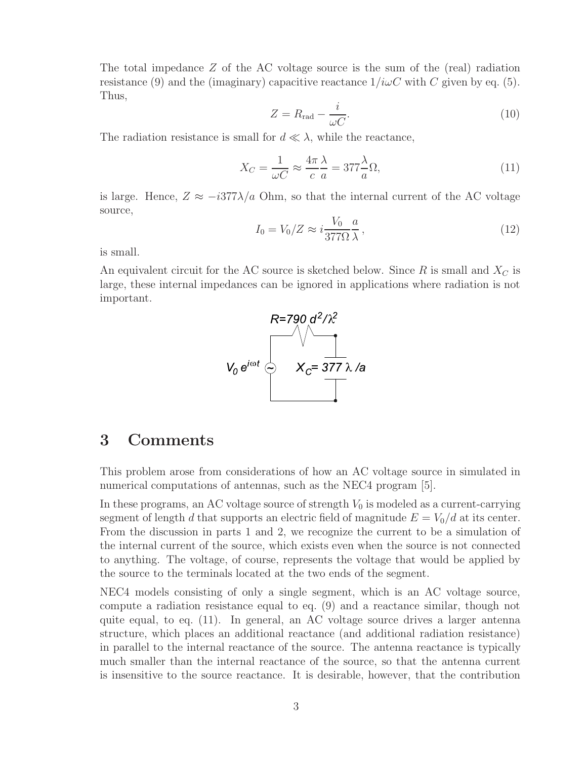The total impedance  $Z$  of the AC voltage source is the sum of the (real) radiation resistance (9) and the (imaginary) capacitive reactance  $1/i\omega C$  with C given by eq. (5). Thus,

$$
Z = R_{\rm rad} - \frac{i}{\omega C}.\tag{10}
$$

The radiation resistance is small for  $d \ll \lambda$ , while the reactance,

$$
X_C = \frac{1}{\omega C} \approx \frac{4\pi}{c} \frac{\lambda}{a} = 377 \frac{\lambda}{a} \Omega,\tag{11}
$$

is large. Hence,  $Z \approx -i377\lambda/a$  Ohm, so that the internal current of the AC voltage source,

$$
I_0 = V_0/Z \approx i \frac{V_0}{377\Omega} \frac{a}{\lambda},\qquad(12)
$$

is small.

An equivalent circuit for the AC source is sketched below. Since  $R$  is small and  $X_C$  is large, these internal impedances can be ignored in applications where radiation is not important.



# **3 Comments**

This problem arose from considerations of how an AC voltage source in simulated in numerical computations of antennas, such as the NEC4 program [5].

In these programs, an AC voltage source of strength  $V_0$  is modeled as a current-carrying segment of length d that supports an electric field of magnitude  $E = V_0/d$  at its center. From the discussion in parts 1 and 2, we recognize the current to be a simulation of the internal current of the source, which exists even when the source is not connected to anything. The voltage, of course, represents the voltage that would be applied by the source to the terminals located at the two ends of the segment.

NEC4 models consisting of only a single segment, which is an AC voltage source, compute a radiation resistance equal to eq. (9) and a reactance similar, though not quite equal, to eq. (11). In general, an AC voltage source drives a larger antenna structure, which places an additional reactance (and additional radiation resistance) in parallel to the internal reactance of the source. The antenna reactance is typically much smaller than the internal reactance of the source, so that the antenna current is insensitive to the source reactance. It is desirable, however, that the contribution